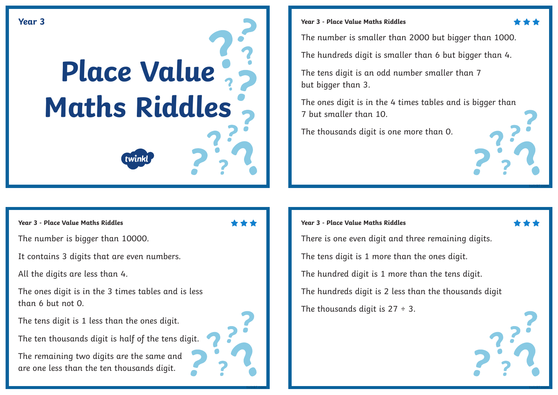# **Place Value [Maths Riddles](https://www.twinkl.com.au/resources/australian-resources-3---4-mathematics-number-and-algebra/australian-resources-3---4-mathematics-number-and-algebra-number-and-place-value/place-value-number-and-place-value-number-and-algebra-mathematics-3-4-australia) Year 3**

#### **Year 3 - Place Value Maths Riddles Year 3 - Place Value Maths Riddles**

The number is bigger than 10000.

It contains 3 digits that are even numbers.

All the digits are less than 4.

The ones digit is in the 3 times tables and is less than 6 but not 0.

The tens digit is 1 less than the ones digit.

The ten thousands digit is half of the tens digit.

The remaining two digits are the same and are one less than the ten thousands digit.

**[twinkl.com](https://www.twinkl.com.au/resources/australian-resources-3---4-mathematics-number-and-algebra/australian-resources-3---4-mathematics-number-and-algebra-number-and-place-value/place-value-number-and-place-value-number-and-algebra-mathematics-3-4-australia)**

There is one even digit and three remaining digits. The tens digit is 1 more than the ones digit. The hundred digit is 1 more than the tens digit. The hundreds digit is 2 less than the thousands digit The thousands digit is  $27 \div 3$ .

**[twinkl.com](https://www.twinkl.com.au/resources/australian-resources-3---4-mathematics-number-and-algebra/australian-resources-3---4-mathematics-number-and-algebra-number-and-place-value/place-value-number-and-place-value-number-and-algebra-mathematics-3-4-australia) [twinkl.com](https://www.twinkl.com.au/resources/australian-resources-3---4-mathematics-number-and-algebra/australian-resources-3---4-mathematics-number-and-algebra-number-and-place-value/place-value-number-and-place-value-number-and-algebra-mathematics-3-4-australia)**

The number is smaller than 2000 but bigger than 1000.

The hundreds digit is smaller than 6 but bigger than 4.

The tens digit is an odd number smaller than 7 but bigger than 3.

The ones digit is in the 4 times tables and is bigger than 7 but smaller than 10.

The thousands digit is one more than 0.

**Year 3 - Place Value Maths Riddles**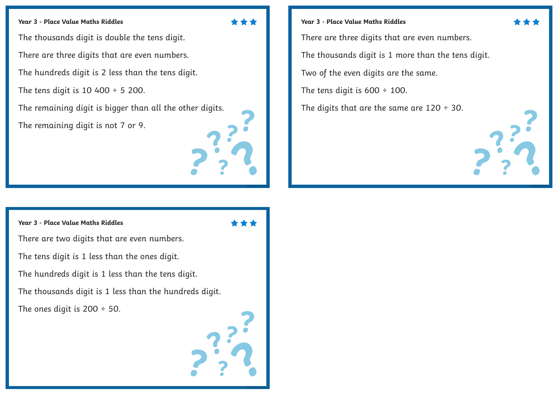#### **Year 3 - Place Value Maths Riddles**

The thousands digit is double the tens digit.

There are three digits that are even numbers.

The hundreds digit is 2 less than the tens digit.

The tens digit is  $10\,400 \div 5\,200$ .

The remaining digit is bigger than all the other digits.

The remaining digit is not 7 or 9.

#### **Year 3 - Place Value Maths Riddles**

There are two digits that are even numbers. The tens digit is 1 less than the ones digit. The hundreds digit is 1 less than the tens digit.

The thousands digit is 1 less than the hundreds digit.

The ones digit is 200 ÷ 50.



**Year 3 - Place Value Maths Riddles** There are three digits that are even numbers. The thousands digit is 1 more than the tens digit. Two of the even digits are the same. The tens digit is  $600 \div 100$ . The digits that are the same are  $120 \div 30$ .

**[twinkl.com](https://www.twinkl.com.au/resources/australian-resources-3---4-mathematics-number-and-algebra/australian-resources-3---4-mathematics-number-and-algebra-number-and-place-value/place-value-number-and-place-value-number-and-algebra-mathematics-3-4-australia)**



**[twinkl.com](https://www.twinkl.com.au/resources/australian-resources-3---4-mathematics-number-and-algebra/australian-resources-3---4-mathematics-number-and-algebra-number-and-place-value/place-value-number-and-place-value-number-and-algebra-mathematics-3-4-australia)**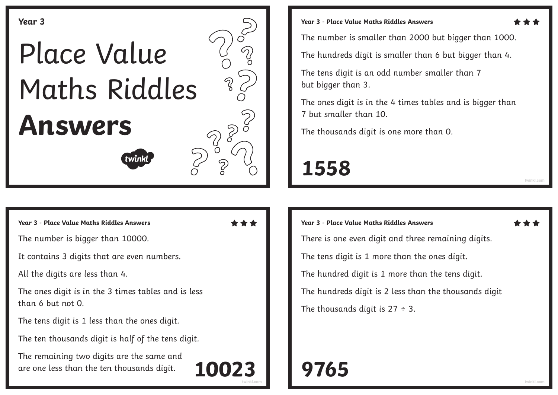

**Year 3 - Place Value Maths Riddles Answers Year 3 - Place Value Maths Riddles Answers**

The number is bigger than 10000.

It contains 3 digits that are even numbers.

All the digits are less than 4.

The ones digit is in the 3 times tables and is less than 6 but not 0.

The tens digit is 1 less than the ones digit.

The ten thousands digit is half of the tens digit.

The remaining two digits are the same and are one less than the ten thousands digit.

The number is smaller than 2000 but bigger than 1000.

The hundreds digit is smaller than 6 but bigger than 4.

The tens digit is an odd number smaller than 7 but bigger than 3.

The ones digit is in the 4 times tables and is bigger than 7 but smaller than 10.

The thousands digit is one more than 0.

## **1558**

**[twinkl.com](https://www.twinkl.com.au/resources/australian-resources-3---4-mathematics-number-and-algebra/australian-resources-3---4-mathematics-number-and-algebra-number-and-place-value/place-value-number-and-place-value-number-and-algebra-mathematics-3-4-australia)**

There is one even digit and three remaining digits.

The tens digit is 1 more than the ones digit.

The hundred digit is 1 more than the tens digit.

The hundreds digit is 2 less than the thousands digit

The thousands digit is  $27 \div 3$ .

### **[twinkl.com](https://www.twinkl.com.au/resources/australian-resources-3---4-mathematics-number-and-algebra/australian-resources-3---4-mathematics-number-and-algebra-number-and-place-value/place-value-number-and-place-value-number-and-algebra-mathematics-3-4-australia) [twinkl.com](https://www.twinkl.com.au/resources/australian-resources-3---4-mathematics-number-and-algebra/australian-resources-3---4-mathematics-number-and-algebra-number-and-place-value/place-value-number-and-place-value-number-and-algebra-mathematics-3-4-australia) 10023 9765**